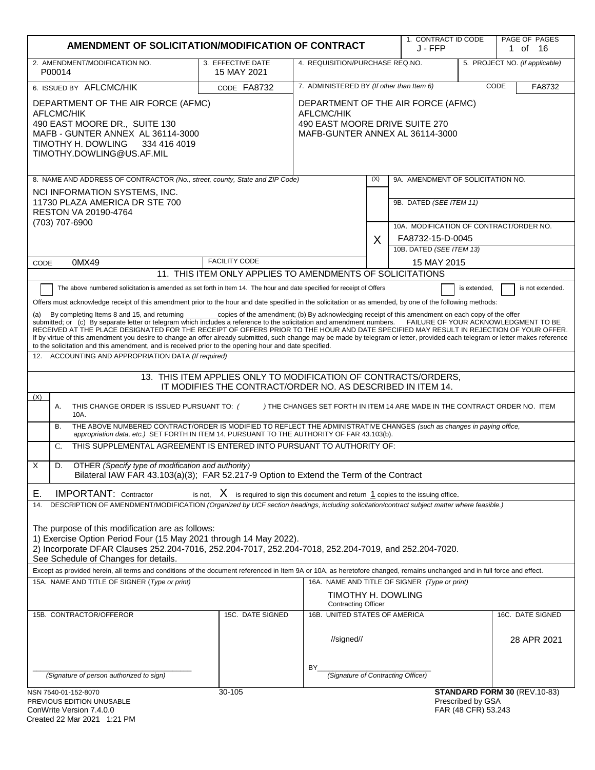| AMENDMENT OF SOLICITATION/MODIFICATION OF CONTRACT                                                                                                                                                                                                                                                                                                                                                                                                                                                                                                                                                                                                                                                                                                                                                                                                                                                                                                                                                                                                                                       | 1. CONTRACT ID CODE<br>J - FFP                                                                                                 |                                                                            | PAGE OF PAGES<br>1 of 16 |                                              |                                          |                                |
|------------------------------------------------------------------------------------------------------------------------------------------------------------------------------------------------------------------------------------------------------------------------------------------------------------------------------------------------------------------------------------------------------------------------------------------------------------------------------------------------------------------------------------------------------------------------------------------------------------------------------------------------------------------------------------------------------------------------------------------------------------------------------------------------------------------------------------------------------------------------------------------------------------------------------------------------------------------------------------------------------------------------------------------------------------------------------------------|--------------------------------------------------------------------------------------------------------------------------------|----------------------------------------------------------------------------|--------------------------|----------------------------------------------|------------------------------------------|--------------------------------|
| 2. AMENDMENT/MODIFICATION NO.<br>3. EFFECTIVE DATE<br>4. REQUISITION/PURCHASE REQ.NO.<br>P00014<br>15 MAY 2021                                                                                                                                                                                                                                                                                                                                                                                                                                                                                                                                                                                                                                                                                                                                                                                                                                                                                                                                                                           |                                                                                                                                |                                                                            |                          |                                              |                                          | 5. PROJECT NO. (If applicable) |
| 7. ADMINISTERED BY (If other than Item 6)<br>6. ISSUED BY AFLCMC/HIK<br>CODE FA8732                                                                                                                                                                                                                                                                                                                                                                                                                                                                                                                                                                                                                                                                                                                                                                                                                                                                                                                                                                                                      |                                                                                                                                |                                                                            |                          |                                              | CODE<br>FA8732                           |                                |
| DEPARTMENT OF THE AIR FORCE (AFMC)<br>AFLCMC/HIK<br>490 EAST MOORE DR., SUITE 130<br>MAFB - GUNTER ANNEX AL 36114-3000<br>TIMOTHY H. DOWLING<br>334 416 4019<br>TIMOTHY.DOWLING@US.AF.MIL                                                                                                                                                                                                                                                                                                                                                                                                                                                                                                                                                                                                                                                                                                                                                                                                                                                                                                | DEPARTMENT OF THE AIR FORCE (AFMC)<br><b>AFLCMC/HIK</b><br>490 EAST MOORE DRIVE SUITE 270<br>MAFB-GUNTER ANNEX AL 36114-3000   |                                                                            |                          |                                              |                                          |                                |
| 8. NAME AND ADDRESS OF CONTRACTOR (No., street, county, State and ZIP Code)                                                                                                                                                                                                                                                                                                                                                                                                                                                                                                                                                                                                                                                                                                                                                                                                                                                                                                                                                                                                              |                                                                                                                                |                                                                            | (X)                      | 9A. AMENDMENT OF SOLICITATION NO.            |                                          |                                |
| NCI INFORMATION SYSTEMS, INC.<br>11730 PLAZA AMERICA DR STE 700<br><b>RESTON VA 20190-4764</b><br>(703) 707-6900                                                                                                                                                                                                                                                                                                                                                                                                                                                                                                                                                                                                                                                                                                                                                                                                                                                                                                                                                                         |                                                                                                                                |                                                                            |                          | 9B. DATED (SEE ITEM 11)                      |                                          |                                |
|                                                                                                                                                                                                                                                                                                                                                                                                                                                                                                                                                                                                                                                                                                                                                                                                                                                                                                                                                                                                                                                                                          |                                                                                                                                |                                                                            |                          | 10A. MODIFICATION OF CONTRACT/ORDER NO.      |                                          |                                |
|                                                                                                                                                                                                                                                                                                                                                                                                                                                                                                                                                                                                                                                                                                                                                                                                                                                                                                                                                                                                                                                                                          |                                                                                                                                |                                                                            | X                        | FA8732-15-D-0045<br>10B. DATED (SEE ITEM 13) |                                          |                                |
| 0MX49<br>CODE                                                                                                                                                                                                                                                                                                                                                                                                                                                                                                                                                                                                                                                                                                                                                                                                                                                                                                                                                                                                                                                                            | <b>FACILITY CODE</b>                                                                                                           |                                                                            |                          | 15 MAY 2015                                  |                                          |                                |
|                                                                                                                                                                                                                                                                                                                                                                                                                                                                                                                                                                                                                                                                                                                                                                                                                                                                                                                                                                                                                                                                                          | 11. THIS ITEM ONLY APPLIES TO AMENDMENTS OF SOLICITATIONS                                                                      |                                                                            |                          |                                              |                                          |                                |
| The above numbered solicitation is amended as set forth in Item 14. The hour and date specified for receipt of Offers<br>is not extended.<br>is extended,<br>Offers must acknowledge receipt of this amendment prior to the hour and date specified in the solicitation or as amended, by one of the following methods:<br>_copies of the amendment; (b) By acknowledging receipt of this amendment on each copy of the offer<br>By completing Items 8 and 15, and returning<br>(a)<br>submitted; or (c) By separate letter or telegram which includes a reference to the solicitation and amendment numbers. FAILURE OF YOUR ACKNOWLEDGMENT TO BE<br>RECEIVED AT THE PLACE DESIGNATED FOR THE RECEIPT OF OFFERS PRIOR TO THE HOUR AND DATE SPECIFIED MAY RESULT IN REJECTION OF YOUR OFFER.<br>If by virtue of this amendment you desire to change an offer already submitted, such change may be made by telegram or letter, provided each telegram or letter makes reference<br>to the solicitation and this amendment, and is received prior to the opening hour and date specified. |                                                                                                                                |                                                                            |                          |                                              |                                          |                                |
| ACCOUNTING AND APPROPRIATION DATA (If required)<br>12.                                                                                                                                                                                                                                                                                                                                                                                                                                                                                                                                                                                                                                                                                                                                                                                                                                                                                                                                                                                                                                   |                                                                                                                                |                                                                            |                          |                                              |                                          |                                |
| (X)                                                                                                                                                                                                                                                                                                                                                                                                                                                                                                                                                                                                                                                                                                                                                                                                                                                                                                                                                                                                                                                                                      | 13. THIS ITEM APPLIES ONLY TO MODIFICATION OF CONTRACTS/ORDERS,<br>IT MODIFIES THE CONTRACT/ORDER NO. AS DESCRIBED IN ITEM 14. |                                                                            |                          |                                              |                                          |                                |
| Α.<br>THIS CHANGE ORDER IS ISSUED PURSUANT TO: (<br>10A.                                                                                                                                                                                                                                                                                                                                                                                                                                                                                                                                                                                                                                                                                                                                                                                                                                                                                                                                                                                                                                 |                                                                                                                                | ) THE CHANGES SET FORTH IN ITEM 14 ARE MADE IN THE CONTRACT ORDER NO. ITEM |                          |                                              |                                          |                                |
| THE ABOVE NUMBERED CONTRACT/ORDER IS MODIFIED TO REFLECT THE ADMINISTRATIVE CHANGES (such as changes in paying office,<br>В.<br>appropriation data, etc.) SET FORTH IN ITEM 14, PURSUANT TO THE AUTHORITY OF FAR 43.103(b).                                                                                                                                                                                                                                                                                                                                                                                                                                                                                                                                                                                                                                                                                                                                                                                                                                                              |                                                                                                                                |                                                                            |                          |                                              |                                          |                                |
| THIS SUPPLEMENTAL AGREEMENT IS ENTERED INTO PURSUANT TO AUTHORITY OF:<br>C.                                                                                                                                                                                                                                                                                                                                                                                                                                                                                                                                                                                                                                                                                                                                                                                                                                                                                                                                                                                                              |                                                                                                                                |                                                                            |                          |                                              |                                          |                                |
| $\times$<br>OTHER (Specify type of modification and authority)<br>D.<br>Bilateral IAW FAR 43.103(a)(3); FAR 52.217-9 Option to Extend the Term of the Contract                                                                                                                                                                                                                                                                                                                                                                                                                                                                                                                                                                                                                                                                                                                                                                                                                                                                                                                           |                                                                                                                                |                                                                            |                          |                                              |                                          |                                |
| <b>IMPORTANT:</b> Contractor<br>Е.                                                                                                                                                                                                                                                                                                                                                                                                                                                                                                                                                                                                                                                                                                                                                                                                                                                                                                                                                                                                                                                       | is not, $X$ is required to sign this document and return $1$ copies to the issuing office.                                     |                                                                            |                          |                                              |                                          |                                |
| DESCRIPTION OF AMENDMENT/MODIFICATION (Organized by UCF section headings, including solicitation/contract subject matter where feasible.)<br>14.                                                                                                                                                                                                                                                                                                                                                                                                                                                                                                                                                                                                                                                                                                                                                                                                                                                                                                                                         |                                                                                                                                |                                                                            |                          |                                              |                                          |                                |
| The purpose of this modification are as follows:<br>1) Exercise Option Period Four (15 May 2021 through 14 May 2022).<br>2) Incorporate DFAR Clauses 252.204-7016, 252.204-7017, 252.204-7018, 252.204-7019, and 252.204-7020.<br>See Schedule of Changes for details.<br>Except as provided herein, all terms and conditions of the document referenced in Item 9A or 10A, as heretofore changed, remains unchanged and in full force and effect.<br>15A. NAME AND TITLE OF SIGNER (Type or print)<br>16A. NAME AND TITLE OF SIGNER (Type or print)<br>TIMOTHY H. DOWLING                                                                                                                                                                                                                                                                                                                                                                                                                                                                                                               |                                                                                                                                |                                                                            |                          |                                              |                                          |                                |
|                                                                                                                                                                                                                                                                                                                                                                                                                                                                                                                                                                                                                                                                                                                                                                                                                                                                                                                                                                                                                                                                                          |                                                                                                                                | <b>Contracting Officer</b>                                                 |                          |                                              |                                          |                                |
| 15B. CONTRACTOR/OFFEROR                                                                                                                                                                                                                                                                                                                                                                                                                                                                                                                                                                                                                                                                                                                                                                                                                                                                                                                                                                                                                                                                  | 15C. DATE SIGNED                                                                                                               | 16B. UNITED STATES OF AMERICA                                              |                          |                                              |                                          | 16C. DATE SIGNED               |
|                                                                                                                                                                                                                                                                                                                                                                                                                                                                                                                                                                                                                                                                                                                                                                                                                                                                                                                                                                                                                                                                                          |                                                                                                                                | //signed//                                                                 |                          |                                              |                                          | 28 APR 2021                    |
| (Signature of person authorized to sign)                                                                                                                                                                                                                                                                                                                                                                                                                                                                                                                                                                                                                                                                                                                                                                                                                                                                                                                                                                                                                                                 |                                                                                                                                | BY.<br>(Signature of Contracting Officer)                                  |                          |                                              |                                          |                                |
| NSN 7540-01-152-8070<br>PREVIOUS EDITION UNUSABLE<br>ConWrite Version 7.4.0.0                                                                                                                                                                                                                                                                                                                                                                                                                                                                                                                                                                                                                                                                                                                                                                                                                                                                                                                                                                                                            | 30-105                                                                                                                         |                                                                            |                          |                                              | Prescribed by GSA<br>FAR (48 CFR) 53.243 | STANDARD FORM 30 (REV.10-83)   |
| Created 22 Mar 2021 1:21 PM                                                                                                                                                                                                                                                                                                                                                                                                                                                                                                                                                                                                                                                                                                                                                                                                                                                                                                                                                                                                                                                              |                                                                                                                                |                                                                            |                          |                                              |                                          |                                |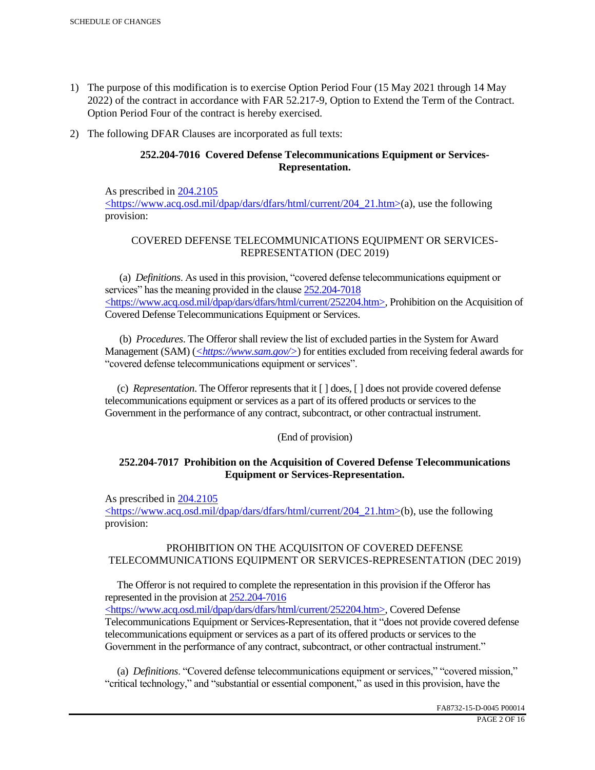- 1) The purpose of this modification is to exercise Option Period Four (15 May 2021 through 14 May 2022) of the contract in accordance with FAR 52.217-9, Option to Extend the Term of the Contract. Option Period Four of the contract is hereby exercised.
- 2) The following DFAR Clauses are incorporated as full texts:

# **252.204-7016 Covered Defense Telecommunications Equipment or Services-Representation.**

As prescribed in 204.2105 <https://www.acq.osd.mil/dpap/dars/dfars/html/current/204\_21.htm>(a), use the following provision:

# COVERED DEFENSE TELECOMMUNICATIONS EQUIPMENT OR SERVICES-REPRESENTATION (DEC 2019)

 (a) *Definitions*. As used in this provision, "covered defense telecommunications equipment or services" has the meaning provided in the clause  $252.204 - 7018$ <https://www.acq.osd.mil/dpap/dars/dfars/html/current/252204.htm>, Prohibition on the Acquisition of Covered Defense Telecommunications Equipment or Services.

 (b) *Procedures*. The Offeror shall review the list of excluded parties in the System for Award Management (SAM) (*<https://www.sam.gov/>*) for entities excluded from receiving federal awards for "covered defense telecommunications equipment or services".

 (c) *Representation*. The Offeror represents that it [ ] does, [ ] does not provide covered defense telecommunications equipment or services as a part of its offered products or services to the Government in the performance of any contract, subcontract, or other contractual instrument.

## (End of provision)

## **252.204-7017 Prohibition on the Acquisition of Covered Defense Telecommunications Equipment or Services-Representation.**

As prescribed in 204.2105

<https://www.acq.osd.mil/dpap/dars/dfars/html/current/204\_21.htm>(b), use the following provision:

## PROHIBITION ON THE ACQUISITON OF COVERED DEFENSE TELECOMMUNICATIONS EQUIPMENT OR SERVICES-REPRESENTATION (DEC 2019)

 The Offeror is not required to complete the representation in this provision if the Offeror has represented in the provision at 252.204-7016

<https://www.acq.osd.mil/dpap/dars/dfars/html/current/252204.htm>, Covered Defense Telecommunications Equipment or Services-Representation, that it "does not provide covered defense telecommunications equipment or services as a part of its offered products or services to the Government in the performance of any contract, subcontract, or other contractual instrument."

 (a) *Definitions*. "Covered defense telecommunications equipment or services," "covered mission," "critical technology," and "substantial or essential component," as used in this provision, have the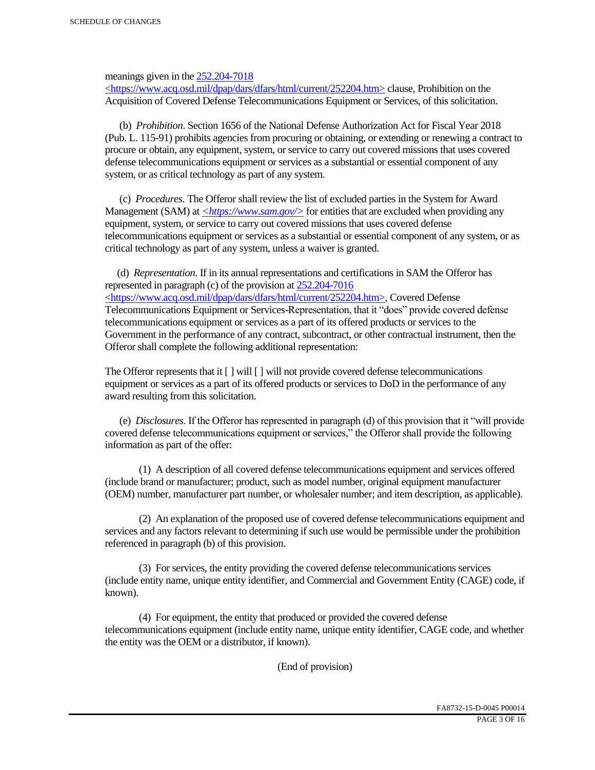meanings given in the 252.204-7018

 $\langle$ https://www.acq.osd.mil/dpap/dars/dfars/html/current/252204.htm> clause, Prohibition on the Acquisition of Covered Defense Telecommunications Equipment or Services, of this solicitation.

 (b) *Prohibition*. Section 1656 of the National Defense Authorization Act for Fiscal Year 2018 (Pub. L. 115-91) prohibits agencies from procuring or obtaining, or extending or renewing a contract to procure or obtain, any equipment, system, or service to carry out covered missions that uses covered defense telecommunications equipment or services as a substantial or essential component of any system, or as critical technology as part of any system.

 (c) *Procedures*. The Offeror shall review the list of excluded parties in the System for Award Management (SAM) at  $\leq$ https://www.sam.gov/> for entities that are excluded when providing any equipment, system, or service to carry out covered missions that uses covered defense telecommunications equipment or services as a substantial or essential component of any system, or as critical technology as part of any system, unless a waiver is granted.

 (d) *Representation*. If in its annual representations and certifications in SAM the Offeror has represented in paragraph (c) of the provision at 252.204-7016 <https://www.acq.osd.mil/dpap/dars/dfars/html/current/252204.htm>, Covered Defense Telecommunications Equipment or Services-Representation, that it "does" provide covered defense telecommunications equipment or services as a part of its offered products or services to the Government in the performance of any contract, subcontract, or other contractual instrument, then the Offeror shall complete the following additional representation:

The Offeror represents that it  $\lceil \cdot \rceil$  will  $\lceil \cdot \rceil$  will not provide covered defense telecommunications equipment or services as a part of its offered products or services to DoD in the performance of any award resulting from this solicitation.

 (e) *Disclosures*. If the Offeror has represented in paragraph (d) of this provision that it "will provide covered defense telecommunications equipment or services," the Offeror shall provide the following information as part of the offer:

 (1) A description of all covered defense telecommunications equipment and services offered (include brand or manufacturer; product, such as model number, original equipment manufacturer (OEM) number, manufacturer part number, or wholesaler number; and item description, as applicable).

 (2) An explanation of the proposed use of covered defense telecommunications equipment and services and any factors relevant to determining if such use would be permissible under the prohibition referenced in paragraph (b) of this provision.

 (3) For services, the entity providing the covered defense telecommunications services (include entity name, unique entity identifier, and Commercial and Government Entity (CAGE) code, if known).

 (4) For equipment, the entity that produced or provided the covered defense telecommunications equipment (include entity name, unique entity identifier, CAGE code, and whether the entity was the OEM or a distributor, if known).

(End of provision)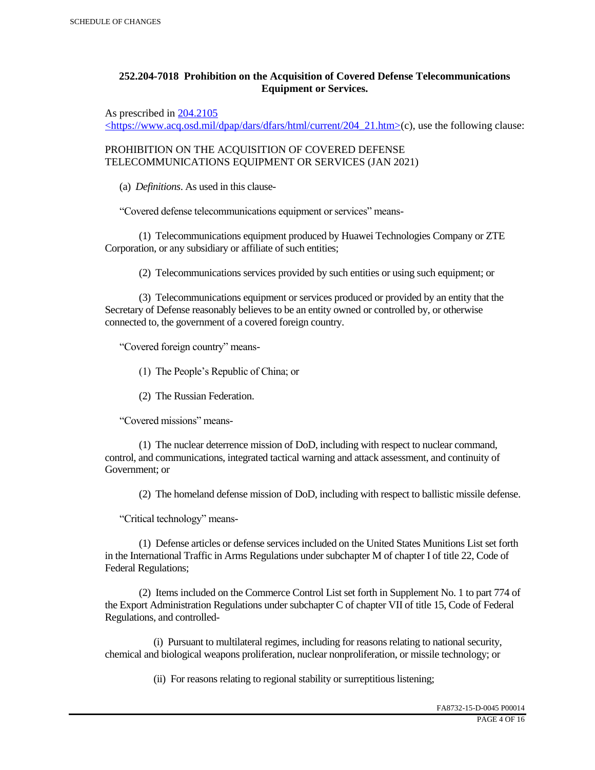# **252.204-7018 Prohibition on the Acquisition of Covered Defense Telecommunications Equipment or Services.**

As prescribed in 204.2105

 $\langle$ https://www.acq.osd.mil/dpap/dars/dfars/html/current/204\_21.htm>(c), use the following clause:

PROHIBITION ON THE ACQUISITION OF COVERED DEFENSE TELECOMMUNICATIONS EQUIPMENT OR SERVICES (JAN 2021)

(a) *Definitions*. As used in this clause-

"Covered defense telecommunications equipment or services" means-

 (1) Telecommunications equipment produced by Huawei Technologies Company or ZTE Corporation, or any subsidiary or affiliate of such entities;

(2) Telecommunications services provided by such entities or using such equipment; or

 (3) Telecommunications equipment or services produced or provided by an entity that the Secretary of Defense reasonably believes to be an entity owned or controlled by, or otherwise connected to, the government of a covered foreign country.

"Covered foreign country" means-

(1) The People's Republic of China; or

(2) The Russian Federation.

"Covered missions" means-

 (1) The nuclear deterrence mission of DoD, including with respect to nuclear command, control, and communications, integrated tactical warning and attack assessment, and continuity of Government; or

(2) The homeland defense mission of DoD, including with respect to ballistic missile defense.

"Critical technology" means-

 (1) Defense articles or defense services included on the United States Munitions List set forth in the International Traffic in Arms Regulations under subchapter M of chapter I of title 22, Code of Federal Regulations;

 (2) Items included on the Commerce Control List set forth in Supplement No. 1 to part 774 of the Export Administration Regulations under subchapter C of chapter VII of title 15, Code of Federal Regulations, and controlled-

 (i) Pursuant to multilateral regimes, including for reasons relating to national security, chemical and biological weapons proliferation, nuclear nonproliferation, or missile technology; or

(ii) For reasons relating to regional stability or surreptitious listening;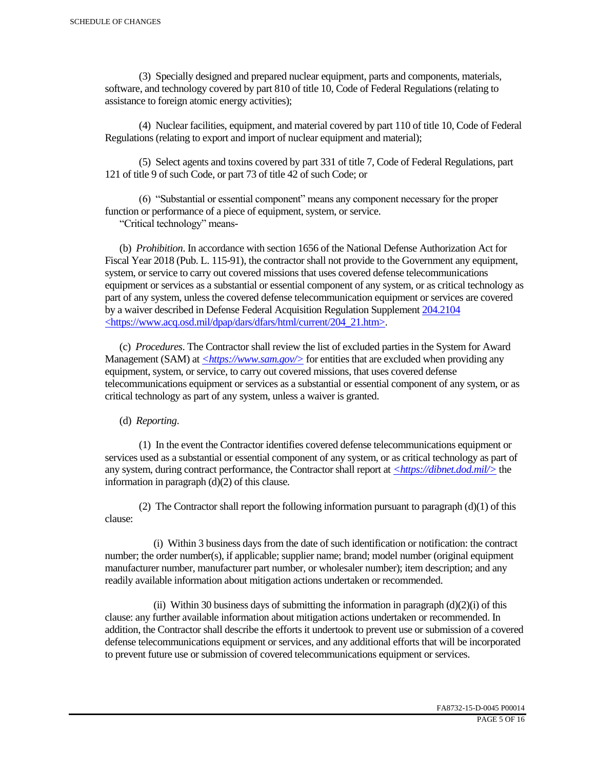(3) Specially designed and prepared nuclear equipment, parts and components, materials, software, and technology covered by part 810 of title 10, Code of Federal Regulations (relating to assistance to foreign atomic energy activities);

 (4) Nuclear facilities, equipment, and material covered by part 110 of title 10, Code of Federal Regulations (relating to export and import of nuclear equipment and material);

 (5) Select agents and toxins covered by part 331 of title 7, Code of Federal Regulations, part 121 of title 9 of such Code, or part 73 of title 42 of such Code; or

 (6) "Substantial or essential component" means any component necessary for the proper function or performance of a piece of equipment, system, or service.

"Critical technology" means-

 (b) *Prohibition*. In accordance with section 1656 of the National Defense Authorization Act for Fiscal Year 2018 (Pub. L. 115-91), the contractor shall not provide to the Government any equipment, system, or service to carry out covered missions that uses covered defense telecommunications equipment or services as a substantial or essential component of any system, or as critical technology as part of any system, unless the covered defense telecommunication equipment or services are covered by a waiver described in Defense Federal Acquisition Regulation Supplement 204.2104 <https://www.acq.osd.mil/dpap/dars/dfars/html/current/204\_21.htm>.

 (c) *Procedures*. The Contractor shall review the list of excluded parties in the System for Award Management (SAM) at  $\langle \frac{https://www.sam.gov/}{>}$  for entities that are excluded when providing any equipment, system, or service, to carry out covered missions, that uses covered defense telecommunications equipment or services as a substantial or essential component of any system, or as critical technology as part of any system, unless a waiver is granted.

(d) *Reporting*.

 (1) In the event the Contractor identifies covered defense telecommunications equipment or services used as a substantial or essential component of any system, or as critical technology as part of any system, during contract performance, the Contractor shall report at *<https://dibnet.dod.mil/>* the information in paragraph (d)(2) of this clause.

(2) The Contractor shall report the following information pursuant to paragraph  $(d)(1)$  of this clause:

 (i) Within 3 business days from the date of such identification or notification: the contract number; the order number(s), if applicable; supplier name; brand; model number (original equipment manufacturer number, manufacturer part number, or wholesaler number); item description; and any readily available information about mitigation actions undertaken or recommended.

(ii) Within 30 business days of submitting the information in paragraph  $(d)(2)(i)$  of this clause: any further available information about mitigation actions undertaken or recommended. In addition, the Contractor shall describe the efforts it undertook to prevent use or submission of a covered defense telecommunications equipment or services, and any additional efforts that will be incorporated to prevent future use or submission of covered telecommunications equipment or services.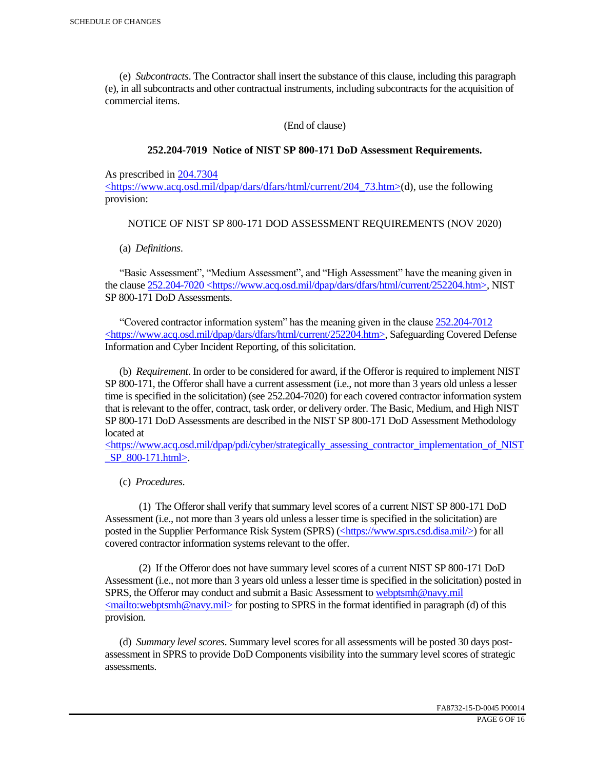(e) *Subcontracts*. The Contractor shall insert the substance of this clause, including this paragraph (e), in all subcontracts and other contractual instruments, including subcontracts for the acquisition of commercial items.

(End of clause)

#### **252.204-7019 Notice of NIST SP 800-171 DoD Assessment Requirements.**

As prescribed in 204.7304

 $\langle$ https://www.acq.osd.mil/dpap/dars/dfars/html/current/204 73.htm>(d), use the following provision:

#### NOTICE OF NIST SP 800-171 DOD ASSESSMENT REQUIREMENTS (NOV 2020)

(a) *Definitions*.

 "Basic Assessment", "Medium Assessment", and "High Assessment" have the meaning given in the clause 252.204-7020 <https://www.acq.osd.mil/dpap/dars/dfars/html/current/252204.htm>, NIST SP 800-171 DoD Assessments.

 "Covered contractor information system" has the meaning given in the clause 252.204-7012 <https://www.acq.osd.mil/dpap/dars/dfars/html/current/252204.htm>, Safeguarding Covered Defense Information and Cyber Incident Reporting, of this solicitation.

 (b) *Requirement*. In order to be considered for award, if the Offeror is required to implement NIST SP 800-171, the Offeror shall have a current assessment (i.e., not more than 3 years old unless a lesser time is specified in the solicitation) (see 252.204-7020) for each covered contractor information system that is relevant to the offer, contract, task order, or delivery order. The Basic, Medium, and High NIST SP 800-171 DoD Assessments are described in the NIST SP 800-171 DoD Assessment Methodology located at

 $\langle$ https://www.acq.osd.mil/dpap/pdi/cyber/strategically\_assessing\_contractor\_implementation\_of\_NIST \_SP\_800-171.html>.

(c) *Procedures*.

 (1) The Offeror shall verify that summary level scores of a current NIST SP 800-171 DoD Assessment (i.e., not more than 3 years old unless a lesser time is specified in the solicitation) are posted in the Supplier Performance Risk System (SPRS) (<https://www.sprs.csd.disa.mil/>) for all covered contractor information systems relevant to the offer.

 (2) If the Offeror does not have summary level scores of a current NIST SP 800-171 DoD Assessment (i.e., not more than 3 years old unless a lesser time is specified in the solicitation) posted in SPRS, the Offeror may conduct and submit a Basic Assessment to webptsmh@navy.mil  $\leq$ mailto:webptsmh@navy.mil> for posting to SPRS in the format identified in paragraph (d) of this provision.

 (d) *Summary level scores*. Summary level scores for all assessments will be posted 30 days postassessment in SPRS to provide DoD Components visibility into the summary level scores of strategic assessments.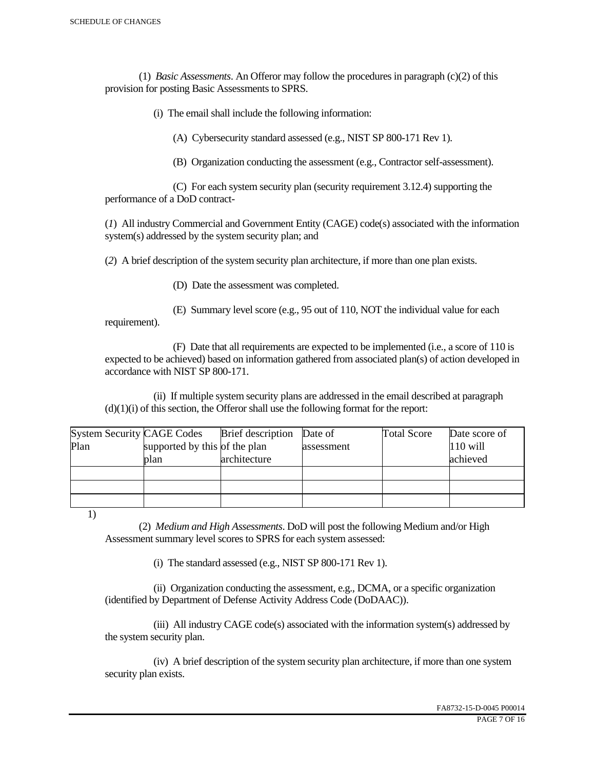(1) *Basic Assessments*. An Offeror may follow the procedures in paragraph (c)(2) of this provision for posting Basic Assessments to SPRS.

(i) The email shall include the following information:

(A) Cybersecurity standard assessed (e.g., NIST SP 800-171 Rev 1).

(B) Organization conducting the assessment (e.g., Contractor self-assessment).

 (C) For each system security plan (security requirement 3.12.4) supporting the performance of a DoD contract-

(*1*) All industry Commercial and Government Entity (CAGE) code(s) associated with the information system(s) addressed by the system security plan; and

(*2*) A brief description of the system security plan architecture, if more than one plan exists.

(D) Date the assessment was completed.

 (E) Summary level score (e.g., 95 out of 110, NOT the individual value for each requirement).

 (F) Date that all requirements are expected to be implemented (i.e., a score of 110 is expected to be achieved) based on information gathered from associated plan(s) of action developed in accordance with NIST SP 800-171.

 (ii) If multiple system security plans are addressed in the email described at paragraph  $(d)(1)(i)$  of this section, the Offeror shall use the following format for the report:

| <b>System Security CAGE Codes</b> |                               | <b>Brief</b> description | Date of    | <b>Total Score</b> | Date score of |
|-----------------------------------|-------------------------------|--------------------------|------------|--------------------|---------------|
| Plan                              | supported by this of the plan |                          | assessment |                    | $110$ will    |
|                                   | plan                          | architecture             |            |                    | achieved      |
|                                   |                               |                          |            |                    |               |
|                                   |                               |                          |            |                    |               |
|                                   |                               |                          |            |                    |               |

1)

 (2) *Medium and High Assessments*. DoD will post the following Medium and/or High Assessment summary level scores to SPRS for each system assessed:

(i) The standard assessed (e.g., NIST SP 800-171 Rev 1).

 (ii) Organization conducting the assessment, e.g., DCMA, or a specific organization (identified by Department of Defense Activity Address Code (DoDAAC)).

 (iii) All industry CAGE code(s) associated with the information system(s) addressed by the system security plan.

 (iv) A brief description of the system security plan architecture, if more than one system security plan exists.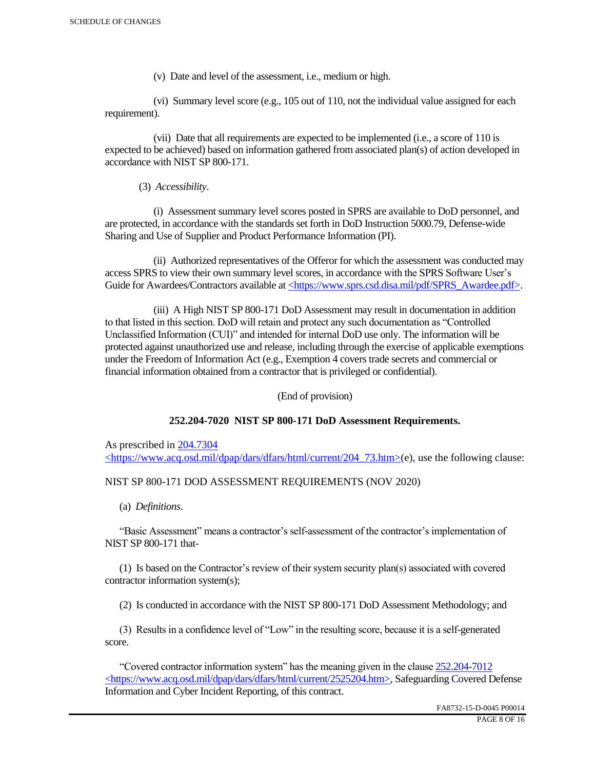(v) Date and level of the assessment, i.e., medium or high.

 (vi) Summary level score (e.g., 105 out of 110, not the individual value assigned for each requirement).

 (vii) Date that all requirements are expected to be implemented (i.e., a score of 110 is expected to be achieved) based on information gathered from associated plan(s) of action developed in accordance with NIST SP 800-171.

(3) *Accessibility*.

 (i) Assessment summary level scores posted in SPRS are available to DoD personnel, and are protected, in accordance with the standards set forth in DoD Instruction 5000.79, Defense-wide Sharing and Use of Supplier and Product Performance Information (PI).

 (ii) Authorized representatives of the Offeror for which the assessment was conducted may access SPRS to view their own summary level scores, in accordance with the SPRS Software User's Guide for Awardees/Contractors available at <https://www.sprs.csd.disa.mil/pdf/SPRS\_Awardee.pdf>.

 (iii) A High NIST SP 800-171 DoD Assessment may result in documentation in addition to that listed in this section. DoD will retain and protect any such documentation as "Controlled Unclassified Information (CUI)" and intended for internal DoD use only. The information will be protected against unauthorized use and release, including through the exercise of applicable exemptions under the Freedom of Information Act (e.g., Exemption 4 covers trade secrets and commercial or financial information obtained from a contractor that is privileged or confidential).

(End of provision)

## **252.204-7020 NIST SP 800-171 DoD Assessment Requirements.**

As prescribed in 204.7304 <https://www.acq.osd.mil/dpap/dars/dfars/html/current/204\_73.htm>(e), use the following clause:

## NIST SP 800-171 DOD ASSESSMENT REQUIREMENTS (NOV 2020)

(a) *Definitions*.

 "Basic Assessment" means a contractor's self-assessment of the contractor's implementation of NIST SP 800-171 that-

 (1) Is based on the Contractor's review of their system security plan(s) associated with covered contractor information system(s);

(2) Is conducted in accordance with the NIST SP 800-171 DoD Assessment Methodology; and

 (3) Results in a confidence level of "Low" in the resulting score, because it is a self-generated score.

 "Covered contractor information system" has the meaning given in the clause 252.204-7012 <https://www.acq.osd.mil/dpap/dars/dfars/html/current/2525204.htm>, Safeguarding Covered Defense Information and Cyber Incident Reporting, of this contract.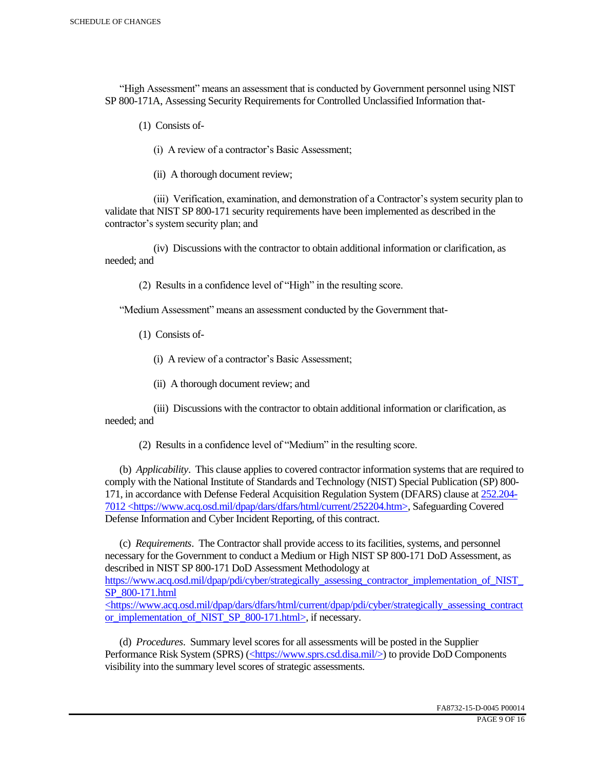"High Assessment" means an assessment that is conducted by Government personnel using NIST SP 800-171A, Assessing Security Requirements for Controlled Unclassified Information that-

(1) Consists of-

(i) A review of a contractor's Basic Assessment;

(ii) A thorough document review;

 (iii) Verification, examination, and demonstration of a Contractor's system security plan to validate that NIST SP 800-171 security requirements have been implemented as described in the contractor's system security plan; and

 (iv) Discussions with the contractor to obtain additional information or clarification, as needed; and

(2) Results in a confidence level of "High" in the resulting score.

"Medium Assessment" means an assessment conducted by the Government that-

(1) Consists of-

(i) A review of a contractor's Basic Assessment;

(ii) A thorough document review; and

 (iii) Discussions with the contractor to obtain additional information or clarification, as needed; and

(2) Results in a confidence level of "Medium" in the resulting score.

 (b) *Applicability*. This clause applies to covered contractor information systems that are required to comply with the National Institute of Standards and Technology (NIST) Special Publication (SP) 800- 171, in accordance with Defense Federal Acquisition Regulation System (DFARS) clause at 252.204- 7012 <https://www.acq.osd.mil/dpap/dars/dfars/html/current/252204.htm>, Safeguarding Covered Defense Information and Cyber Incident Reporting, of this contract.

 (c) *Requirements*. The Contractor shall provide access to its facilities, systems, and personnel necessary for the Government to conduct a Medium or High NIST SP 800-171 DoD Assessment, as described in NIST SP 800-171 DoD Assessment Methodology at https://www.acq.osd.mil/dpap/pdi/cyber/strategically\_assessing\_contractor\_implementation\_of\_NIST\_ SP\_800-171.html <https://www.acq.osd.mil/dpap/dars/dfars/html/current/dpap/pdi/cyber/strategically\_assessing\_contract

or implementation of NIST SP 800-171.html>, if necessary.

 (d) *Procedures*. Summary level scores for all assessments will be posted in the Supplier Performance Risk System (SPRS) (<https://www.sprs.csd.disa.mil/>) to provide DoD Components visibility into the summary level scores of strategic assessments.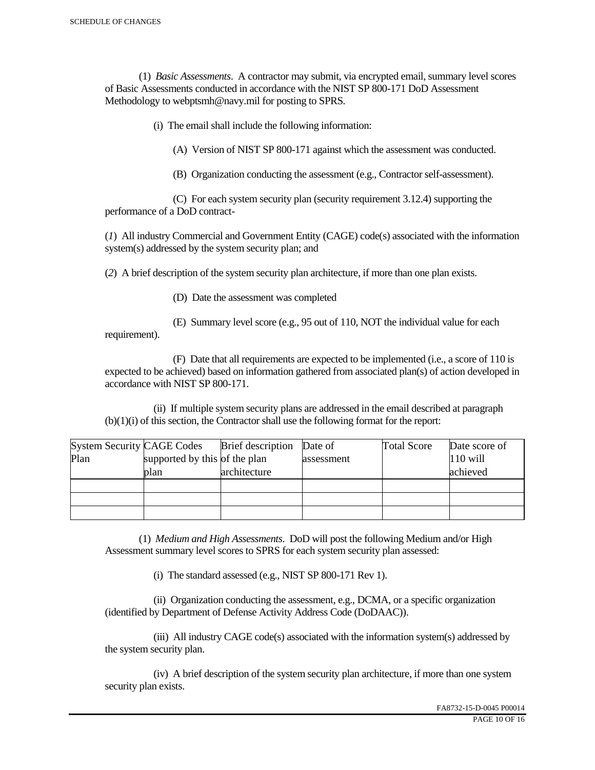(1) *Basic Assessments*. A contractor may submit, via encrypted email, summary level scores of Basic Assessments conducted in accordance with the NIST SP 800-171 DoD Assessment Methodology to webptsmh@navy.mil for posting to SPRS.

(i) The email shall include the following information:

(A) Version of NIST SP 800-171 against which the assessment was conducted.

(B) Organization conducting the assessment (e.g., Contractor self-assessment).

 (C) For each system security plan (security requirement 3.12.4) supporting the performance of a DoD contract-

(*1*) All industry Commercial and Government Entity (CAGE) code(s) associated with the information system(s) addressed by the system security plan; and

(*2*) A brief description of the system security plan architecture, if more than one plan exists.

(D) Date the assessment was completed

requirement).

(E) Summary level score (e.g., 95 out of 110, NOT the individual value for each

 (F) Date that all requirements are expected to be implemented (i.e., a score of 110 is expected to be achieved) based on information gathered from associated plan(s) of action developed in accordance with NIST SP 800-171.

 (ii) If multiple system security plans are addressed in the email described at paragraph (b)(1)(i) of this section, the Contractor shall use the following format for the report:

| <b>System Security CAGE Codes</b> |                               | <b>Brief</b> description | Date of    | <b>Total Score</b> | Date score of |
|-----------------------------------|-------------------------------|--------------------------|------------|--------------------|---------------|
| Plan                              | supported by this of the plan |                          | assessment |                    | $110$ will    |
|                                   | plan                          | architecture             |            |                    | achieved      |
|                                   |                               |                          |            |                    |               |
|                                   |                               |                          |            |                    |               |
|                                   |                               |                          |            |                    |               |

 (1) *Medium and High Assessments*. DoD will post the following Medium and/or High Assessment summary level scores to SPRS for each system security plan assessed:

(i) The standard assessed (e.g., NIST SP 800-171 Rev 1).

 (ii) Organization conducting the assessment, e.g., DCMA, or a specific organization (identified by Department of Defense Activity Address Code (DoDAAC)).

 (iii) All industry CAGE code(s) associated with the information system(s) addressed by the system security plan.

 (iv) A brief description of the system security plan architecture, if more than one system security plan exists.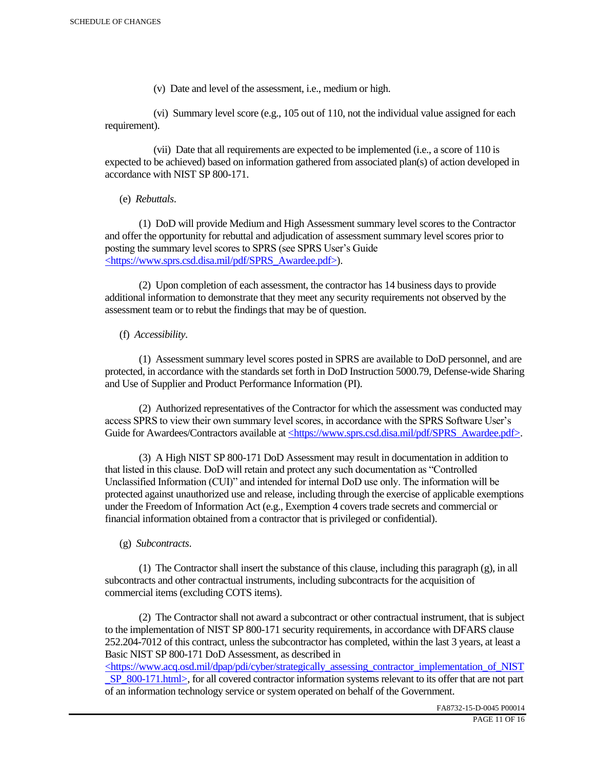(v) Date and level of the assessment, i.e., medium or high.

 (vi) Summary level score (e.g., 105 out of 110, not the individual value assigned for each requirement).

 (vii) Date that all requirements are expected to be implemented (i.e., a score of 110 is expected to be achieved) based on information gathered from associated plan(s) of action developed in accordance with NIST SP 800-171.

(e) *Rebuttals*.

 (1) DoD will provide Medium and High Assessment summary level scores to the Contractor and offer the opportunity for rebuttal and adjudication of assessment summary level scores prior to posting the summary level scores to SPRS (see SPRS User's Guide <https://www.sprs.csd.disa.mil/pdf/SPRS\_Awardee.pdf>).

 (2) Upon completion of each assessment, the contractor has 14 business days to provide additional information to demonstrate that they meet any security requirements not observed by the assessment team or to rebut the findings that may be of question.

## (f) *Accessibility*.

 (1) Assessment summary level scores posted in SPRS are available to DoD personnel, and are protected, in accordance with the standards set forth in DoD Instruction 5000.79, Defense-wide Sharing and Use of Supplier and Product Performance Information (PI).

 (2) Authorized representatives of the Contractor for which the assessment was conducted may access SPRS to view their own summary level scores, in accordance with the SPRS Software User's Guide for Awardees/Contractors available at <https://www.sprs.csd.disa.mil/pdf/SPRS\_Awardee.pdf>.

 (3) A High NIST SP 800-171 DoD Assessment may result in documentation in addition to that listed in this clause. DoD will retain and protect any such documentation as "Controlled Unclassified Information (CUI)" and intended for internal DoD use only. The information will be protected against unauthorized use and release, including through the exercise of applicable exemptions under the Freedom of Information Act (e.g., Exemption 4 covers trade secrets and commercial or financial information obtained from a contractor that is privileged or confidential).

## (g) *Subcontracts*.

(1) The Contractor shall insert the substance of this clause, including this paragraph  $(g)$ , in all subcontracts and other contractual instruments, including subcontracts for the acquisition of commercial items (excluding COTS items).

 (2) The Contractor shall not award a subcontract or other contractual instrument, that is subject to the implementation of NIST SP 800-171 security requirements, in accordance with DFARS clause 252.204-7012 of this contract, unless the subcontractor has completed, within the last 3 years, at least a Basic NIST SP 800-171 DoD Assessment, as described in

 $\langle$ https://www.acq.osd.mil/dpap/pdi/cyber/strategically\_assessing\_contractor\_implementation\_of\_NIST SP\_800-171.html>, for all covered contractor information systems relevant to its offer that are not part of an information technology service or system operated on behalf of the Government.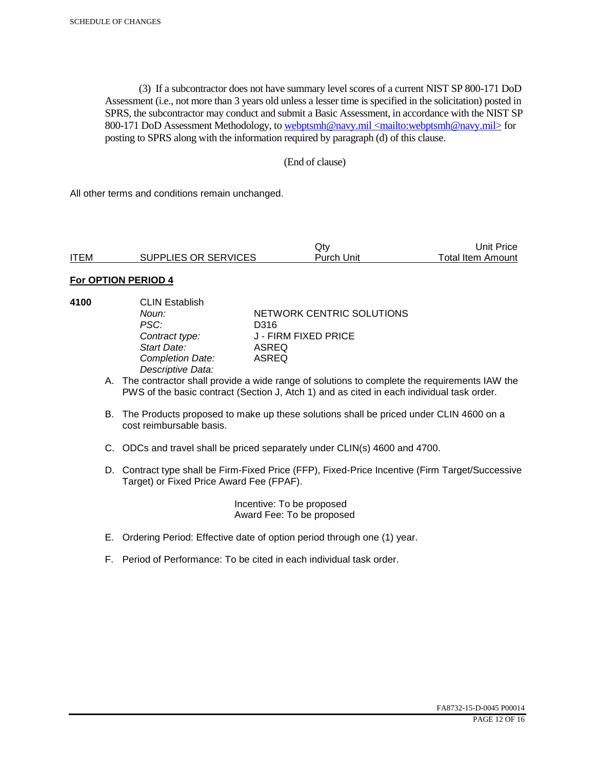(3) If a subcontractor does not have summary level scores of a current NIST SP 800-171 DoD Assessment (i.e., not more than 3 years old unless a lesser time is specified in the solicitation) posted in SPRS, the subcontractor may conduct and submit a Basic Assessment, in accordance with the NIST SP 800-171 DoD Assessment Methodology, to webptsmh@navy.mil <mailto:webptsmh@navy.mil> for posting to SPRS along with the information required by paragraph (d) of this clause.

#### (End of clause)

All other terms and conditions remain unchanged.

|             |                      | Jt∨               | Unit Price l      |
|-------------|----------------------|-------------------|-------------------|
| <b>ITEM</b> | SUPPLIES OR SERVICES | <b>Purch Unit</b> | Total Item Amount |

#### **For OPTION PERIOD 4**

| 4100 | <b>CLIN Establish</b><br>Noun:<br>PSC:<br>Contract type:<br>Start Date:<br><b>Completion Date:</b><br>Descriptive Data: | NETWORK CENTRIC SOLUTIONS<br>D316<br>J - FIRM FIXED PRICE<br>ASREQ<br>ASREQ                                                                                                                 |
|------|-------------------------------------------------------------------------------------------------------------------------|---------------------------------------------------------------------------------------------------------------------------------------------------------------------------------------------|
|      |                                                                                                                         | A. The contractor shall provide a wide range of solutions to complete the requirements IAW the<br>PWS of the basic contract (Section J, Atch 1) and as cited in each individual task order. |
|      | cost reimbursable basis.                                                                                                | B. The Products proposed to make up these solutions shall be priced under CLIN 4600 on a                                                                                                    |
|      |                                                                                                                         | C. ODCs and travel shall be priced separately under CLIN(s) 4600 and 4700.                                                                                                                  |

D. Contract type shall be Firm-Fixed Price (FFP), Fixed-Price Incentive (Firm Target/Successive Target) or Fixed Price Award Fee (FPAF).

> Incentive: To be proposed Award Fee: To be proposed

- E. Ordering Period: Effective date of option period through one (1) year.
- F. Period of Performance: To be cited in each individual task order.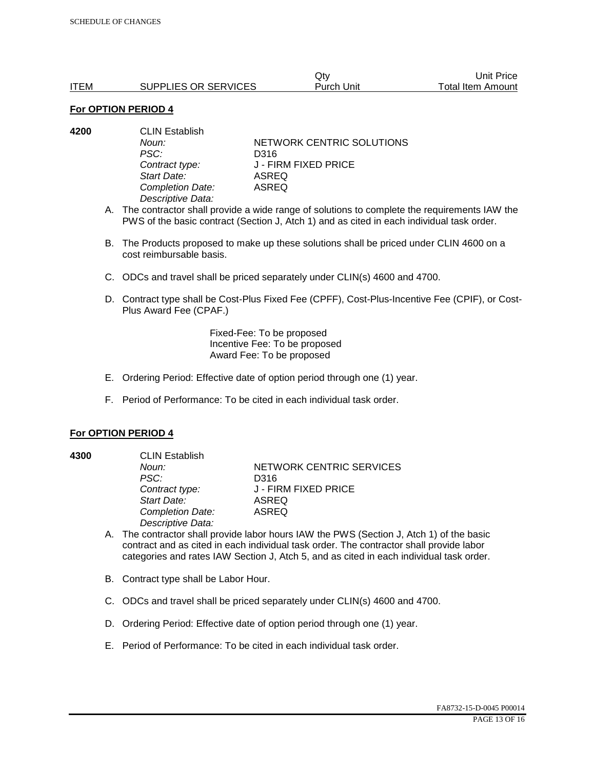|             |                      | Qtv        | Unit Price        |
|-------------|----------------------|------------|-------------------|
| <b>ITEM</b> | SUPPLIES OR SERVICES | Purch Unit | Total Item Amount |

#### **For OPTION PERIOD 4**

| 4200 | <b>CLIN Establish</b> |                           |  |
|------|-----------------------|---------------------------|--|
|      | Noun:                 | NETWORK CENTRIC SOLUTIONS |  |
|      | PSC:                  | D316                      |  |
|      | Contract type:        | J - FIRM FIXED PRICE      |  |
|      | Start Date:           | ASREQ                     |  |
|      | Completion Date:      | ASREQ                     |  |
|      | Descriptive Data:     |                           |  |

- A. The contractor shall provide a wide range of solutions to complete the requirements IAW the PWS of the basic contract (Section J, Atch 1) and as cited in each individual task order.
- B. The Products proposed to make up these solutions shall be priced under CLIN 4600 on a cost reimbursable basis.
- C. ODCs and travel shall be priced separately under CLIN(s) 4600 and 4700.
- D. Contract type shall be Cost-Plus Fixed Fee (CPFF), Cost-Plus-Incentive Fee (CPIF), or Cost-Plus Award Fee (CPAF.)

Fixed-Fee: To be proposed Incentive Fee: To be proposed Award Fee: To be proposed

- E. Ordering Period: Effective date of option period through one (1) year.
- F. Period of Performance: To be cited in each individual task order.

#### **For OPTION PERIOD 4**

**4300** CLIN Establish *PSC:* D316 *Start Date:* ASREQ *Completion Date:* ASREQ *Descriptive Data:* 

**Noun: NETWORK CENTRIC SERVICES** *Contract type:* J - FIRM FIXED PRICE

- A. The contractor shall provide labor hours IAW the PWS (Section J, Atch 1) of the basic contract and as cited in each individual task order. The contractor shall provide labor categories and rates IAW Section J, Atch 5, and as cited in each individual task order.
- B. Contract type shall be Labor Hour.
- C. ODCs and travel shall be priced separately under CLIN(s) 4600 and 4700.
- D. Ordering Period: Effective date of option period through one (1) year.
- E. Period of Performance: To be cited in each individual task order.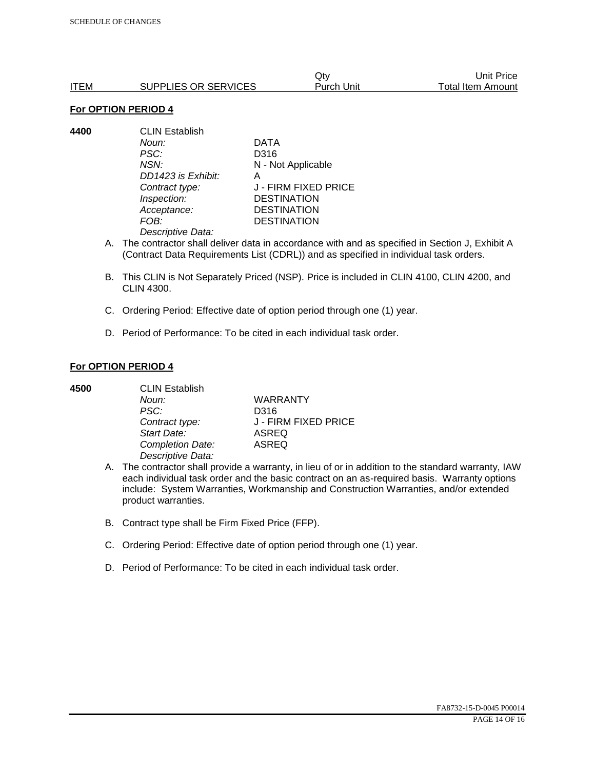|      |                      | Qtv        | Unit Price        |
|------|----------------------|------------|-------------------|
| ITEM | SUPPLIES OR SERVICES | Purch Unit | Total Item Amount |

#### **For OPTION PERIOD 4**

**4400** CLIN Establish *Noun:* DATA *PSC:* D316 *NSN:* N - Not Applicable *DD1423 is Exhibit:* A *Contract type:* J - FIRM FIXED PRICE *Inspection:* DESTINATION *Acceptance:* DESTINATION *FOB:* DESTINATION *Descriptive Data:* 

- A. The contractor shall deliver data in accordance with and as specified in Section J, Exhibit A (Contract Data Requirements List (CDRL)) and as specified in individual task orders.
- B. This CLIN is Not Separately Priced (NSP). Price is included in CLIN 4100, CLIN 4200, and CLIN 4300.
- C. Ordering Period: Effective date of option period through one (1) year.
- D. Period of Performance: To be cited in each individual task order.

#### **For OPTION PERIOD 4**

| 4500 | <b>CLIN Establish</b> |                      |  |
|------|-----------------------|----------------------|--|
|      | Noun:                 | <b>WARRANTY</b>      |  |
|      | PSC:                  | D316                 |  |
|      | Contract type:        | J - FIRM FIXED PRICE |  |
|      | Start Date:           | <b>ASREQ</b>         |  |
|      | Completion Date:      | <b>ASREQ</b>         |  |
|      | Descriptive Data:     |                      |  |

- A. The contractor shall provide a warranty, in lieu of or in addition to the standard warranty, IAW each individual task order and the basic contract on an as-required basis. Warranty options include: System Warranties, Workmanship and Construction Warranties, and/or extended product warranties.
- B. Contract type shall be Firm Fixed Price (FFP).
- C. Ordering Period: Effective date of option period through one (1) year.
- D. Period of Performance: To be cited in each individual task order.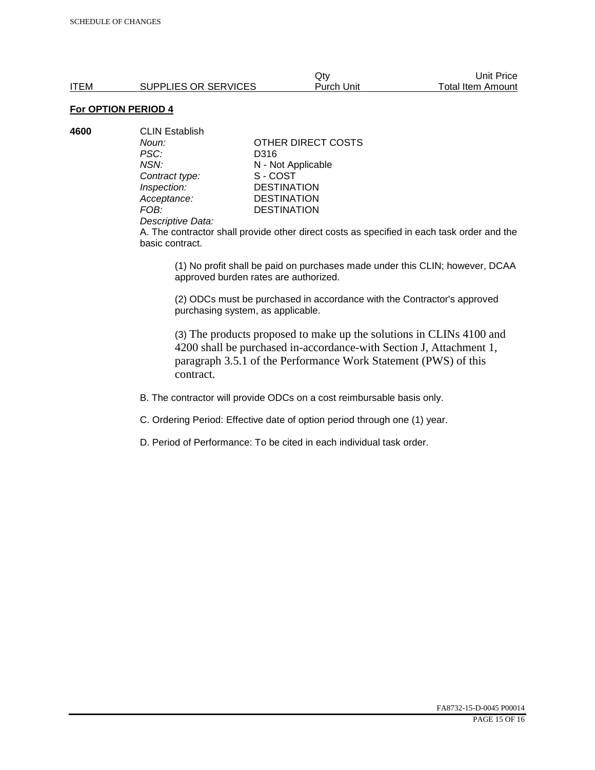Qty Unit Price ITEM SUPPLIES OR SERVICES Purch Unit Total Item Amount

# **For OPTION PERIOD 4**

**4600** CLIN Establish *PSC:* D316 **Contract type:** *Inspection:* DESTINATION<br> *Acceptance:* DESTINATION *Acceptance:* DESTINATION<br>FOB: DESTINATION

*Noun:* **CONTACT OTHER DIRECT COSTS** *NSN:* **N** - Not Applicable<br>
Contract type: S - COST **DESTINATION** 

#### *Descriptive Data:*

A. The contractor shall provide other direct costs as specified in each task order and the basic contract.

(1) No profit shall be paid on purchases made under this CLIN; however, DCAA approved burden rates are authorized.

(2) ODCs must be purchased in accordance with the Contractor's approved purchasing system, as applicable.

(3) The products proposed to make up the solutions in CLINs 4100 and 4200 shall be purchased in-accordance-with Section J, Attachment 1, paragraph 3.5.1 of the Performance Work Statement (PWS) of this contract.

B. The contractor will provide ODCs on a cost reimbursable basis only.

C. Ordering Period: Effective date of option period through one (1) year.

D. Period of Performance: To be cited in each individual task order.